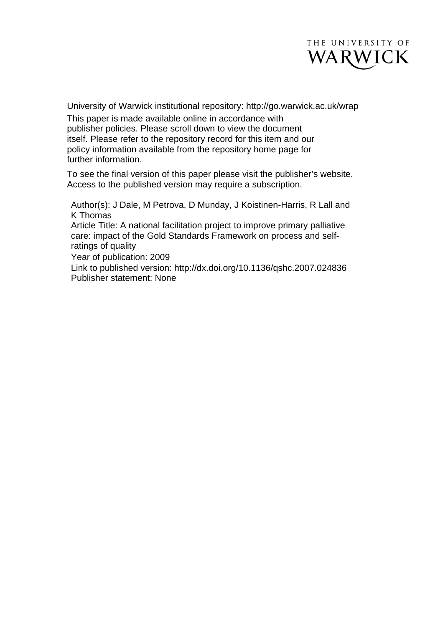

University of Warwick institutional repository: <http://go.warwick.ac.uk/wrap> This paper is made available online in accordance with publisher policies. Please scroll down to view the document itself. Please refer to the repository record for this item and our policy information available from the repository home page for further information.

To see the final version of this paper please visit the publisher's website. Access to the published version may require a subscription.

Author(s): J Dale, M Petrova, D Munday, J Koistinen-Harris, R Lall and K Thomas

Article Title: A national facilitation project to improve primary palliative care: impact of the Gold Standards Framework on process and selfratings of quality

Year of publication: 2009

Link to published version: [http://dx.doi.org/](http://dx.doi.org/10.1017/S0021859600008431)10.1136/qshc.2007.024836 Publisher statement: None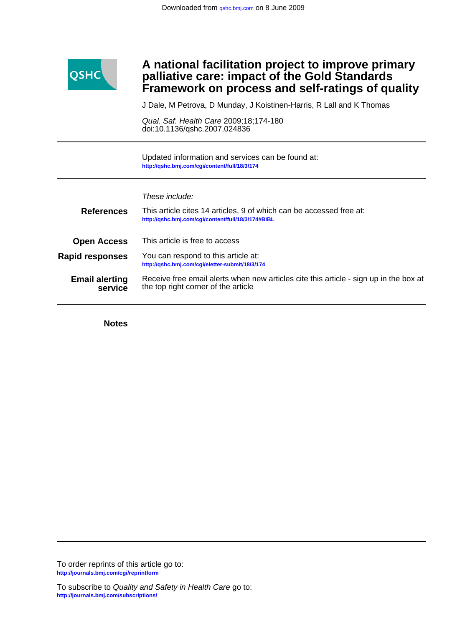

# **Framework on process and self-ratings of quality palliative care: impact of the Gold Standards A national facilitation project to improve primary**

J Dale, M Petrova, D Munday, J Koistinen-Harris, R Lall and K Thomas

doi:10.1136/qshc.2007.024836 Qual. Saf. Health Care 2009;18;174-180

**<http://qshc.bmj.com/cgi/content/full/18/3/174>** Updated information and services can be found at:

These include:

| <b>References</b>                | This article cites 14 articles, 9 of which can be accessed free at:<br>http://qshc.bmj.com/cgi/content/full/18/3/174#BIBL    |
|----------------------------------|------------------------------------------------------------------------------------------------------------------------------|
| <b>Open Access</b>               | This article is free to access                                                                                               |
| <b>Rapid responses</b>           | You can respond to this article at:<br>http://qshc.bmj.com/cqi/eletter-submit/18/3/174                                       |
| <b>Email alerting</b><br>service | Receive free email alerts when new articles cite this article - sign up in the box at<br>the top right corner of the article |

**Notes**

**<http://journals.bmj.com/cgi/reprintform>** To order reprints of this article go to: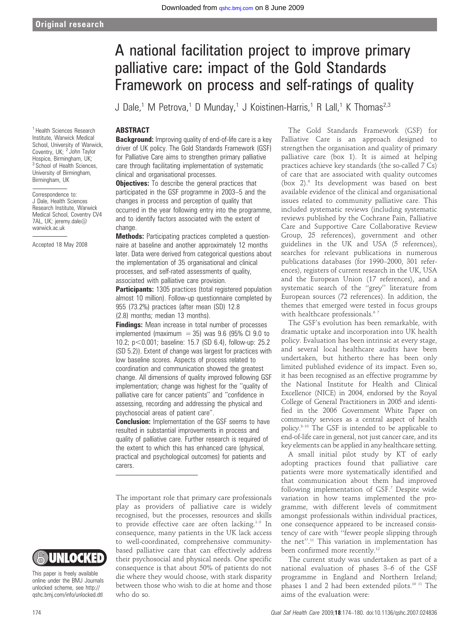<sup>1</sup> Health Sciences Research Institute, Warwick Medical School, University of Warwick, Coventry, UK; <sup>2</sup> John Taylor Hospice, Birmingham, UK; <sup>3</sup> School of Health Sciences, University of Birmingham, Birmingham, UK Correspondence to: J Dale, Health Sciences Research Institute, Warwick Medical School, Coventry CV4 7AL, UK; jeremy.dale@ warwick.ac.uk

Accepted 18 May 2008

# A national facilitation project to improve primary palliative care: impact of the Gold Standards Framework on process and self-ratings of quality

J Dale,<sup>1</sup> M Petrova,<sup>1</sup> D Munday,<sup>1</sup> J Koistinen-Harris,<sup>1</sup> R Lall,<sup>1</sup> K Thomas<sup>2,3</sup>

# ABSTRACT

**Background:** Improving quality of end-of-life care is a key driver of UK policy. The Gold Standards Framework (GSF) for Palliative Care aims to strengthen primary palliative care through facilitating implementation of systematic clinical and organisational processes.

**Objectives:** To describe the general practices that participated in the GSF programme in 2003–5 and the changes in process and perception of quality that occurred in the year following entry into the programme, and to identify factors associated with the extent of change.

Methods: Participating practices completed a questionnaire at baseline and another approximately 12 months later. Data were derived from categorical questions about the implementation of 35 organisational and clinical processes, and self-rated assessments of quality, associated with palliative care provision.

**Participants:** 1305 practices (total registered population almost 10 million). Follow-up questionnaire completed by 955 (73.2%) practices (after mean (SD) 12.8 (2.8) months; median 13 months).

**Findings:** Mean increase in total number of processes implemented (maximum  $=$  35) was 9.6 (95% CI 9.0 to 10.2; p<0.001; baseline: 15.7 (SD 6.4), follow-up: 25.2 (SD 5.2)). Extent of change was largest for practices with low baseline scores. Aspects of process related to coordination and communication showed the greatest change. All dimensions of quality improved following GSF implementation; change was highest for the ''quality of palliative care for cancer patients'' and ''confidence in assessing, recording and addressing the physical and psychosocial areas of patient care''.

**Conclusion:** Implementation of the GSF seems to have resulted in substantial improvements in process and quality of palliative care. Further research is required of the extent to which this has enhanced care (physical, practical and psychological outcomes) for patients and carers.

The important role that primary care professionals play as providers of palliative care is widely recognised, but the processes, resources and skills to provide effective care are often lacking.<sup>1-5</sup> In consequence, many patients in the UK lack access to well-coordinated, comprehensive communitybased palliative care that can effectively address their psychosocial and physical needs. One specific consequence is that about 50% of patients do not die where they would choose, with stark disparity between those who wish to die at home and those who do so.

The Gold Standards Framework (GSF) for Palliative Care is an approach designed to strengthen the organisation and quality of primary palliative care (box 1). It is aimed at helping practices achieve key standards (the so-called 7 Cs) of care that are associated with quality outcomes (box 2).<sup>6</sup> Its development was based on best available evidence of the clinical and organisational issues related to community palliative care. This included systematic reviews (including systematic reviews published by the Cochrane Pain, Palliative Care and Supportive Care Collaborative Review Group, 25 references), government and other guidelines in the UK and USA (5 references), searches for relevant publications in numerous publications databases (for 1990–2000, 301 references), registers of current research in the UK, USA and the European Union (17 references), and a systematic search of the ''grey'' literature from European sources (72 references). In addition, the themes that emerged were tested in focus groups with healthcare professionals.<sup>67</sup>

The GSF's evolution has been remarkable, with dramatic uptake and incorporation into UK health policy. Evaluation has been intrinsic at every stage, and several local healthcare audits have been undertaken, but hitherto there has been only limited published evidence of its impact. Even so, it has been recognised as an effective programme by the National Institute for Health and Clinical Excellence (NICE) in 2004, endorsed by the Royal College of General Practitioners in 2005 and identified in the 2006 Government White Paper on community services as a central aspect of health policy.8–10 The GSF is intended to be applicable to end-of-life care in general, not just cancer care, and its key elements can be applied in any healthcare setting.

A small initial pilot study by KT of early adopting practices found that palliative care patients were more systematically identified and that communication about them had improved following implementation of GSF.<sup>7</sup> Despite wide variation in how teams implemented the programme, with different levels of commitment amongst professionals within individual practices, one consequence appeared to be increased consistency of care with ''fewer people slipping through the net''.11 This variation in implementation has been confirmed more recently.<sup>12</sup>

The current study was undertaken as part of a national evaluation of phases 3–6 of the GSF programme in England and Northern Ireland; phases 1 and 2 had been extended pilots.<sup>10 11</sup> The aims of the evaluation were:



This paper is freely available online under the BMJ Journals unlocked scheme, see http:// qshc.bmj.com/info/unlocked.dtl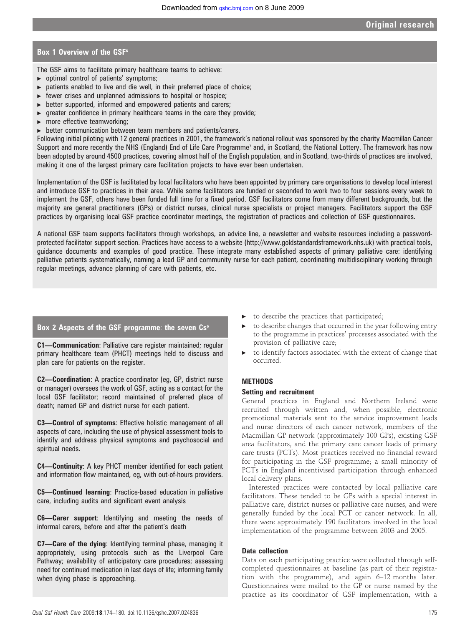# Box 1 Overview of the GSF<sup>6</sup>

The GSF aims to facilitate primary healthcare teams to achieve:

- $\rightarrow$  optimal control of patients' symptoms;
- $\triangleright$  patients enabled to live and die well, in their preferred place of choice;
- fewer crises and unplanned admissions to hospital or hospice;
- $\triangleright$  better supported, informed and empowered patients and carers;
- $\triangleright$  greater confidence in primary healthcare teams in the care they provide;
- $\blacktriangleright$  more effective teamworking:
- $\triangleright$  better communication between team members and patients/carers.

Following initial piloting with 12 general practices in 2001, the framework's national rollout was sponsored by the charity Macmillan Cancer Support and more recently the NHS (England) End of Life Care Programme<sup>7</sup> and, in Scotland, the National Lottery. The framework has now been adopted by around 4500 practices, covering almost half of the English population, and in Scotland, two-thirds of practices are involved, making it one of the largest primary care facilitation projects to have ever been undertaken.

Implementation of the GSF is facilitated by local facilitators who have been appointed by primary care organisations to develop local interest and introduce GSF to practices in their area. While some facilitators are funded or seconded to work two to four sessions every week to implement the GSF, others have been funded full time for a fixed period. GSF facilitators come from many different backgrounds, but the majority are general practitioners (GPs) or district nurses, clinical nurse specialists or project managers. Facilitators support the GSF practices by organising local GSF practice coordinator meetings, the registration of practices and collection of GSF questionnaires.

A national GSF team supports facilitators through workshops, an advice line, a newsletter and website resources including a passwordprotected facilitator support section. Practices have access to a website (http://www.goldstandardsframework.nhs.uk) with practical tools, guidance documents and examples of good practice. These integrate many established aspects of primary palliative care: identifying palliative patients systematically, naming a lead GP and community nurse for each patient, coordinating multidisciplinary working through regular meetings, advance planning of care with patients, etc.

# Box 2 Aspects of the GSF programme: the seven  $Cs<sup>6</sup>$

C1—Communication: Palliative care register maintained; regular primary healthcare team (PHCT) meetings held to discuss and plan care for patients on the register.

C2—Coordination: A practice coordinator (eg, GP, district nurse or manager) oversees the work of GSF, acting as a contact for the local GSF facilitator; record maintained of preferred place of death; named GP and district nurse for each patient.

C3—Control of symptoms: Effective holistic management of all aspects of care, including the use of physical assessment tools to identify and address physical symptoms and psychosocial and spiritual needs.

C4—Continuity: A key PHCT member identified for each patient and information flow maintained, eg, with out-of-hours providers.

C5—Continued learning: Practice-based education in palliative care, including audits and significant event analysis

C6—Carer support: Identifying and meeting the needs of informal carers, before and after the patient's death

C7—Care of the dying: Identifying terminal phase, managing it appropriately, using protocols such as the Liverpool Care Pathway; availability of anticipatory care procedures; assessing need for continued medication in last days of life; informing family when dying phase is approaching.

- to describe the practices that participated;
- to describe changes that occurred in the year following entry to the programme in practices' processes associated with the provision of palliative care;
- to identify factors associated with the extent of change that occurred.

# **METHODS**

#### Setting and recruitment

General practices in England and Northern Ireland were recruited through written and, when possible, electronic promotional materials sent to the service improvement leads and nurse directors of each cancer network, members of the Macmillan GP network (approximately 100 GPs), existing GSF area facilitators, and the primary care cancer leads of primary care trusts (PCTs). Most practices received no financial reward for participating in the GSF programme; a small minority of PCTs in England incentivised participation through enhanced local delivery plans.

Interested practices were contacted by local palliative care facilitators. These tended to be GPs with a special interest in palliative care, district nurses or palliative care nurses, and were generally funded by the local PCT or cancer network. In all, there were approximately 190 facilitators involved in the local implementation of the programme between 2003 and 2005.

# Data collection

Data on each participating practice were collected through selfcompleted questionnaires at baseline (as part of their registration with the programme), and again 6–12 months later. Questionnaires were mailed to the GP or nurse named by the practice as its coordinator of GSF implementation, with a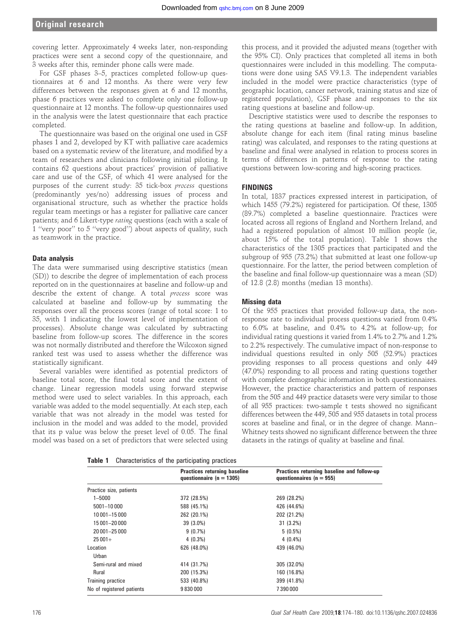covering letter. Approximately 4 weeks later, non-responding practices were sent a second copy of the questionnaire, and 3 weeks after this, reminder phone calls were made.

For GSF phases 3–5, practices completed follow-up questionnaires at 6 and 12 months. As there were very few differences between the responses given at 6 and 12 months, phase 6 practices were asked to complete only one follow-up questionnaire at 12 months. The follow-up questionnaires used in the analysis were the latest questionnaire that each practice completed.

The questionnaire was based on the original one used in GSF phases 1 and 2, developed by KT with palliative care academics based on a systematic review of the literature, and modified by a team of researchers and clinicians following initial piloting. It contains 62 questions about practices' provision of palliative care and use of the GSF, of which 41 were analysed for the purposes of the current study: 35 tick-box process questions (predominantly yes/no) addressing issues of process and organisational structure, such as whether the practice holds regular team meetings or has a register for palliative care cancer patients; and 6 Likert-type rating questions (each with a scale of 1 ''very poor'' to 5 ''very good'') about aspects of quality, such as teamwork in the practice.

# Data analysis

The data were summarised using descriptive statistics (mean (SD)) to describe the degree of implementation of each process reported on in the questionnaires at baseline and follow-up and describe the extent of change. A total process score was calculated at baseline and follow-up by summating the responses over all the process scores (range of total score: 1 to 35, with 1 indicating the lowest level of implementation of processes). Absolute change was calculated by subtracting baseline from follow-up scores. The difference in the scores was not normally distributed and therefore the Wilcoxon signed ranked test was used to assess whether the difference was statistically significant.

Several variables were identified as potential predictors of baseline total score, the final total score and the extent of change. Linear regression models using forward stepwise method were used to select variables. In this approach, each variable was added to the model sequentially. At each step, each variable that was not already in the model was tested for inclusion in the model and was added to the model, provided that its p value was below the preset level of 0.05. The final model was based on a set of predictors that were selected using this process, and it provided the adjusted means (together with the 95% CI). Only practices that completed all items in both questionnaires were included in this modelling. The computations were done using SAS V9.1.3. The independent variables included in the model were practice characteristics (type of geographic location, cancer network, training status and size of registered population), GSF phase and responses to the six rating questions at baseline and follow-up.

Descriptive statistics were used to describe the responses to the rating questions at baseline and follow-up. In addition, absolute change for each item (final rating minus baseline rating) was calculated, and responses to the rating questions at baseline and final were analysed in relation to process scores in terms of differences in patterns of response to the rating questions between low-scoring and high-scoring practices.

#### FINDINGS

In total, 1837 practices expressed interest in participation, of which 1455 (79.2%) registered for participation. Of these, 1305 (89.7%) completed a baseline questionnaire. Practices were located across all regions of England and Northern Ireland, and had a registered population of almost 10 million people (ie, about 15% of the total population). Table 1 shows the characteristics of the 1305 practices that participated and the subgroup of 955 (73.2%) that submitted at least one follow-up questionnaire. For the latter, the period between completion of the baseline and final follow-up questionnaire was a mean (SD) of 12.8 (2.8) months (median 13 months).

#### Missing data

Of the 955 practices that provided follow-up data, the nonresponse rate to individual process questions varied from 0.4% to 6.0% at baseline, and 0.4% to 4.2% at follow-up; for individual rating questions it varied from 1.4% to 2.7% and 1.2% to 2.2% respectively. The cumulative impact of non-response to individual questions resulted in only 505 (52.9%) practices providing responses to all process questions and only 449 (47.0%) responding to all process and rating questions together with complete demographic information in both questionnaires. However, the practice characteristics and pattern of responses from the 505 and 449 practice datasets were very similar to those of all 955 practices: two-sample t tests showed no significant differences between the 449, 505 and 955 datasets in total process scores at baseline and final, or in the degree of change. Mann– Whitney tests showed no significant difference between the three datasets in the ratings of quality at baseline and final.

Table 1 Characteristics of the participating practices

|                           | <b>Practices returning baseline</b><br>questionnaire ( $n = 1305$ ) | Practices returning baseline and follow-up<br>questionnaires ( $n = 955$ ) |  |  |  |  |
|---------------------------|---------------------------------------------------------------------|----------------------------------------------------------------------------|--|--|--|--|
| Practice size, patients   |                                                                     |                                                                            |  |  |  |  |
| $1 - 5000$                | 372 (28.5%)                                                         | 269 (28.2%)                                                                |  |  |  |  |
| 5001-10000                | 588 (45.1%)                                                         | 426 (44.6%)                                                                |  |  |  |  |
| 10 001-15 000             | 262 (20.1%)                                                         | 202 (21.2%)                                                                |  |  |  |  |
| 15 001-20 000             | 39 (3.0%)                                                           | $31(3.2\%)$                                                                |  |  |  |  |
| 20 001-25 000             | $9(0.7\%)$                                                          | $5(0.5\%)$                                                                 |  |  |  |  |
| $25001+$                  | $4(0.3\%)$                                                          | $4(0.4\%)$                                                                 |  |  |  |  |
| Location                  | 626 (48.0%)                                                         | 439 (46.0%)                                                                |  |  |  |  |
| Urban                     |                                                                     |                                                                            |  |  |  |  |
| Semi-rural and mixed      | 414 (31.7%)                                                         | 305 (32.0%)                                                                |  |  |  |  |
| Rural                     | 200 (15.3%)                                                         | 160 (16.8%)                                                                |  |  |  |  |
| Training practice         | 533 (40.8%)                                                         | 399 (41.8%)                                                                |  |  |  |  |
| No of registered patients | 9830000                                                             | 7390000                                                                    |  |  |  |  |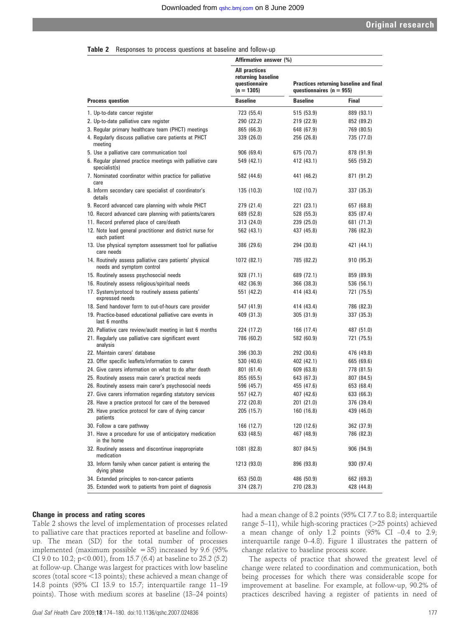#### Table 2 Responses to process questions at baseline and follow-up

|                                                                                      | Affirmative answer (%)                                                    |                                                                              |              |  |  |
|--------------------------------------------------------------------------------------|---------------------------------------------------------------------------|------------------------------------------------------------------------------|--------------|--|--|
|                                                                                      | <b>All practices</b><br>returning baseline<br>questionnaire<br>(n = 1305) | <b>Practices returning baseline and final</b><br>questionnaires (n = $955$ ) |              |  |  |
| <b>Process question</b>                                                              | <b>Baseline</b>                                                           | <b>Baseline</b>                                                              | <b>Final</b> |  |  |
| 1. Up-to-date cancer register                                                        | 723 (55.4)                                                                | 515 (53.9)                                                                   | 889 (93.1)   |  |  |
| 2. Up-to-date palliative care register                                               | 290 (22.2)                                                                | 219 (22.9)                                                                   | 852 (89.2)   |  |  |
| 3. Regular primary healthcare team (PHCT) meetings                                   | 865 (66.3)                                                                | 648 (67.9)                                                                   | 769 (80.5)   |  |  |
| 4. Regularly discuss palliative care patients at PHCT<br>meeting                     | 339 (26.0)                                                                | 256 (26.8)                                                                   | 735 (77.0)   |  |  |
| 5. Use a palliative care communication tool                                          | 906(69.4)                                                                 | 675 (70.7)                                                                   | 878 (91.9)   |  |  |
| 6. Regular planned practice meetings with palliative care<br>specialist(s)           | 549 (42.1)                                                                | 412 (43.1)                                                                   | 565 (59.2)   |  |  |
| 7. Nominated coordinator within practice for palliative<br>care                      | 582 (44.6)                                                                | 441 (46.2)                                                                   | 871 (91.2)   |  |  |
| 8. Inform secondary care specialist of coordinator's<br>details                      | 135 (10.3)                                                                | 102 (10.7)                                                                   | 337 (35.3)   |  |  |
| 9. Record advanced care planning with whole PHCT                                     | 279 (21.4)                                                                | 221 (23.1)                                                                   | 657 (68.8)   |  |  |
| 10. Record advanced care planning with patients/carers                               | 689 (52.8)                                                                | 528 (55.3)                                                                   | 835 (87.4)   |  |  |
| 11. Record preferred place of care/death                                             | 313 (24.0)                                                                | 239 (25.0)                                                                   | 681 (71.3)   |  |  |
| 12. Note lead general practitioner and district nurse for<br>each patient            | 562 (43.1)                                                                | 437 (45.8)                                                                   | 786 (82.3)   |  |  |
| 13. Use physical symptom assessment tool for palliative<br>care needs                | 386 (29.6)                                                                | 294 (30.8)                                                                   | 421 (44.1)   |  |  |
| 14. Routinely assess palliative care patients' physical<br>needs and symptom control | 1072 (82.1)                                                               | 785 (82.2)                                                                   | 910 (95.3)   |  |  |
| 15. Routinely assess psychosocial needs                                              | 928 (71.1)                                                                | 689 (72.1)                                                                   | 859 (89.9)   |  |  |
| 16. Routinely assess religious/spiritual needs                                       | 482 (36.9)                                                                | 366 (38.3)                                                                   | 536 (56.1)   |  |  |
| 17. System/protocol to routinely assess patients'<br>expressed needs                 | 551 (42.2)                                                                | 414 (43.4)                                                                   | 721 (75.5)   |  |  |
| 18. Send handover form to out-of-hours care provider                                 | 547 (41.9)                                                                | 414 (43.4)                                                                   | 786 (82.3)   |  |  |
| 19. Practice-based educational palliative care events in<br>last 6 months            | 409 (31.3)                                                                | 305 (31.9)                                                                   | 337 (35.3)   |  |  |
| 20. Palliative care review/audit meeting in last 6 months                            | 224 (17.2)                                                                | 166 (17.4)                                                                   | 487 (51.0)   |  |  |
| 21. Regularly use palliative care significant event<br>analysis                      | 786 (60.2)                                                                | 582 (60.9)                                                                   | 721 (75.5)   |  |  |
| 22. Maintain carers' database                                                        | 396 (30.3)                                                                | 292 (30.6)                                                                   | 476 (49.8)   |  |  |
| 23. Offer specific leaflets/information to carers                                    | 530 (40.6)                                                                | 402 (42.1)                                                                   | 665 (69.6)   |  |  |
| 24. Give carers information on what to do after death                                | 801 (61.4)                                                                | 609 (63.8)                                                                   | 778 (81.5)   |  |  |
| 25. Routinely assess main carer's practical needs                                    | 855 (65.5)                                                                | 643 (67.3)                                                                   | 807 (84.5)   |  |  |
| 26. Routinely assess main carer's psychosocial needs                                 | 596 (45.7)                                                                | 455 (47.6)                                                                   | 653 (68.4)   |  |  |
| 27. Give carers information regarding statutory services                             | 557 (42.7)                                                                | 407 (42.6)                                                                   | 633 (66.3)   |  |  |
| 28. Have a practice protocol for care of the bereaved                                | 272 (20.8)                                                                | 201 (21.0)                                                                   | 376 (39.4)   |  |  |
| 29. Have practice protocol for care of dying cancer<br>patients                      | 205 (15.7)                                                                | 160 (16.8)                                                                   | 439 (46.0)   |  |  |
| 30. Follow a care pathway                                                            | 166 (12.7)                                                                | 120 (12.6)                                                                   | 362 (37.9)   |  |  |
| 31. Have a procedure for use of anticipatory medication<br>in the home               | 633 (48.5)                                                                | 467 (48.9)                                                                   | 786 (82.3)   |  |  |
| 32. Routinely assess and discontinue inappropriate<br>medication                     | 1081 (82.8)                                                               | 807 (84.5)                                                                   | 906 (94.9)   |  |  |
| 33. Inform family when cancer patient is entering the<br>dying phase                 | 1213 (93.0)                                                               | 896 (93.8)                                                                   | 930 (97.4)   |  |  |
| 34. Extended principles to non-cancer patients                                       | 653 (50.0)                                                                | 486 (50.9)                                                                   | 662 (69.3)   |  |  |
| 35. Extended work to patients from point of diagnosis                                | 374 (28.7)                                                                | 270 (28.3)                                                                   | 428 (44.8)   |  |  |

#### Change in process and rating scores

Table 2 shows the level of implementation of processes related to palliative care that practices reported at baseline and followup. The mean (SD) for the total number of processes implemented (maximum possible = 35) increased by  $9.6$  ( $95\%$ CI 9.0 to 10.2; p $<$ 0.001), from 15.7 (6.4) at baseline to 25.2 (5.2) at follow-up. Change was largest for practices with low baseline scores (total score <13 points); these achieved a mean change of 14.8 points (95% CI 13.9 to 15.7; interquartile range 11–19 points). Those with medium scores at baseline (13–24 points)

had a mean change of 8.2 points (95% CI 7.7 to 8.8; interquartile range 5–11), while high-scoring practices ( $>$ 25 points) achieved a mean change of only 1.2 points (95% CI –0.4 to 2.9; interquartile range 0–4.8). Figure 1 illustrates the pattern of change relative to baseline process score.

The aspects of practice that showed the greatest level of change were related to coordination and communication, both being processes for which there was considerable scope for improvement at baseline. For example, at follow-up, 90.2% of practices described having a register of patients in need of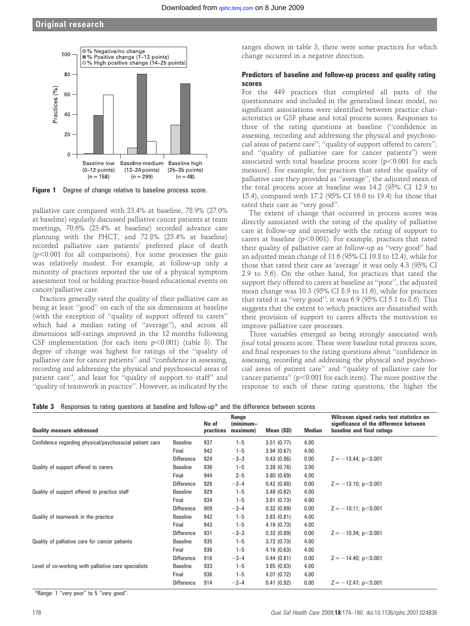# Original research



Figure 1 Degree of change relative to baseline process score.

palliative care compared with 23.4% at baseline, 78.9% (27.0% at baseline) regularly discussed palliative cancer patients at team meetings, 70.6% (23.4% at baseline) recorded advance care planning with the PHCT, and 72.8% (25.4% at baseline) recorded palliative care patients' preferred place of death  $(p<0.001$  for all comparisons). For some processes the gain was relatively modest. For example, at follow-up only a minority of practices reported the use of a physical symptom assessment tool or holding practice-based educational events on cancer/palliative care.

Practices generally rated the quality of their palliative care as being at least ''good'' on each of the six dimensions at baseline (with the exception of ''quality of support offered to carers'' which had a median rating of ''average''), and across all dimensions self-ratings improved in the 12 months following GSF implementation (for each item  $p<0.001$ ) (table 3). The degree of change was highest for ratings of the ''quality of palliative care for cancer patients'' and ''confidence in assessing, recording and addressing the physical and psychosocial areas of patient care'', and least for ''quality of support to staff'' and ''quality of teamwork in practice''. However, as indicated by the ranges shown in table 3, there were some practices for which change occurred in a negative direction.

### Predictors of baseline and follow-up process and quality rating scores

For the 449 practices that completed all parts of the questionnaire and included in the generalised linear model, no significant associations were identified between practice characteristics or GSF phase and total process scores. Responses to three of the rating questions at baseline (''confidence in assessing, recording and addressing the physical and psychosocial areas of patient care''; ''quality of support offered to carers''; and ''quality of palliative care for cancer patients'') were associated with total baseline process score ( $p<0.001$  for each measure). For example, for practices that rated the quality of palliative care they provided as ''average'', the adjusted mean of the total process score at baseline was 14.2 (95% CI 12.9 to 15.4), compared with 17.2 (95% CI 16.0 to 19.4) for those that rated their care as ''very good''.

The extent of change that occurred in process scores was directly associated with the rating of the quality of palliative care at follow-up and inversely with the rating of support to carers at baseline ( $p<0.001$ ). For example, practices that rated their quality of palliative care at follow-up as ''very good'' had an adjusted mean change of 11.6 (95% CI 10.8 to 12.4), while for those that rated their care as 'average' it was only 4.3 (95% CI 2.9 to 5.6). On the other hand, for practices that rated the support they offered to carers at baseline as ''poor'', the adjusted mean change was 10.3 (95% CI 8.9 to 11.6), while for practices that rated it as ''very good'', it was 6.9 (95% CI 5.1 to 8.6). This suggests that the extent to which practices are dissatisfied with their provision of support to carers affects the motivation to improve palliative care processes.

Three variables emerged as being strongly associated with final total process score. These were baseline total process score, and final responses to the rating questions about ''confidence in assessing, recording and addressing the physical and psychosocial areas of patient care'' and ''quality of palliative care for cancer patients'' ( $p<0.001$  for each item). The more positive the response to each of these rating questions, the higher the

|  | <b>Table 3</b> Responses to rating questions at baseline and follow-up* and the difference between scores |  |  |  |  |  |  |  |  |  |  |  |
|--|-----------------------------------------------------------------------------------------------------------|--|--|--|--|--|--|--|--|--|--|--|
|--|-----------------------------------------------------------------------------------------------------------|--|--|--|--|--|--|--|--|--|--|--|

| <b>Quality measure addressed</b>                        |                   | No of<br>practices | Range<br>(minimum–<br>maximum) | Mean (SD)  | <b>Median</b> | Wilcoxon signed ranks test statistics on<br>significance of the difference between<br>baseline and final ratings |  |  |
|---------------------------------------------------------|-------------------|--------------------|--------------------------------|------------|---------------|------------------------------------------------------------------------------------------------------------------|--|--|
| Confidence regarding physical/psychosocial patient care | <b>Baseline</b>   | 937                | $1 - 5$                        | 3.51(0.77) | 4.00          |                                                                                                                  |  |  |
|                                                         | Final             | 942                | $1 - 5$                        | 3.94(0.67) | 4.00          |                                                                                                                  |  |  |
|                                                         | <b>Difference</b> | 924                | $-3-3$                         | 0.43(0.86) | 0.00          | $Z = -13.44$ ; p $< 0.001$                                                                                       |  |  |
| Quality of support offered to carers                    | <b>Baseline</b>   | 936                | $1 - 5$                        | 3.38(0.78) | 3.00          |                                                                                                                  |  |  |
|                                                         | Final             | 944                | $2 - 5$                        | 3.80(0.69) | 4.00          |                                                                                                                  |  |  |
|                                                         | <b>Difference</b> | 926                | $-2-4$                         | 0.42(0.88) | 0.00          | $Z = -13.10$ ; p $< 0.001$                                                                                       |  |  |
| Quality of support offered to practice staff            | <b>Baseline</b>   | 929                | $1 - 5$                        | 3.48(0.82) | 4.00          |                                                                                                                  |  |  |
|                                                         | Final             | 934                | $1 - 5$                        | 3.81(0.73) | 4.00          |                                                                                                                  |  |  |
|                                                         | <b>Difference</b> | 909                | $-3-4$                         | 0.32(0.89) | 0.00          | $Z = -10.11$ ; p $< 0.001$                                                                                       |  |  |
| Quality of teamwork in the practice                     | <b>Baseline</b>   | 942                | $1 - 5$                        | 3.83(0.81) | 4.00          |                                                                                                                  |  |  |
|                                                         | Final             | 943                | $1 - 5$                        | 4.16(0.73) | 4.00          |                                                                                                                  |  |  |
|                                                         | Difference        | 931                | $-3-3$                         | 0.32(0.89) | 0.00          | $Z = -10.34$ ; p $< 0.001$                                                                                       |  |  |
| Quality of palliative care for cancer patients          | <b>Baseline</b>   | 935                | $1 - 5$                        | 3.72(0.73) | 4.00          |                                                                                                                  |  |  |
|                                                         | Final             | 936                | $1 - 5$                        | 4.16(0.63) | 4.00          |                                                                                                                  |  |  |
|                                                         | <b>Difference</b> | 916                | $-3-4$                         | 0.44(0.81) | 0.00          | $Z = -14.40; p < 0.001$                                                                                          |  |  |
| Level of co-working with palliative care specialists    | <b>Baseline</b>   | 933                | $1 - 5$                        | 3.65(0.83) | 4.00          |                                                                                                                  |  |  |
|                                                         | Final             | 936                | $1 - 5$                        | 4.07(0.72) | 4.00          |                                                                                                                  |  |  |
|                                                         | <b>Difference</b> | 914                | $-2-4$                         | 0.41(0.92) | 0.00          | $Z = -12.47$ ; p $< 0.001$                                                                                       |  |  |

\*Range: 1 ''very poor'' to 5 ''very good''.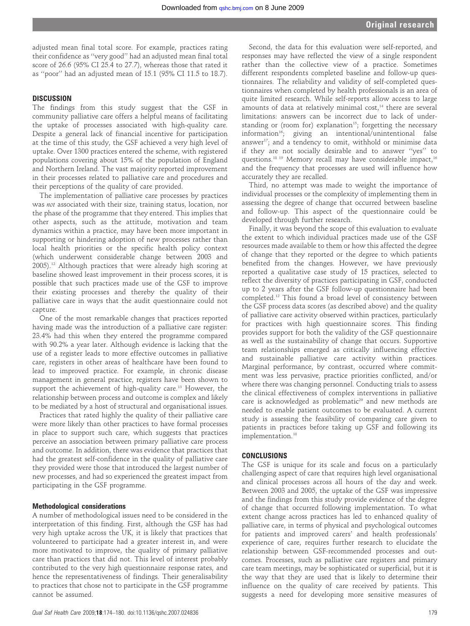adjusted mean final total score. For example, practices rating their confidence as ''very good'' had an adjusted mean final total score of 26.6 (95% CI 25.4 to 27.7), whereas those that rated it as ''poor'' had an adjusted mean of 15.1 (95% CI 11.5 to 18.7).

#### **DISCUSSION**

The findings from this study suggest that the GSF in community palliative care offers a helpful means of facilitating the uptake of processes associated with high-quality care. Despite a general lack of financial incentive for participation at the time of this study, the GSF achieved a very high level of uptake. Over 1300 practices entered the scheme, with registered populations covering about 15% of the population of England and Northern Ireland. The vast majority reported improvement in their processes related to palliative care and procedures and their perceptions of the quality of care provided.

The implementation of palliative care processes by practices was not associated with their size, training status, location, nor the phase of the programme that they entered. This implies that other aspects, such as the attitude, motivation and team dynamics within a practice, may have been more important in supporting or hindering adoption of new processes rather than local health priorities or the specific health policy context (which underwent considerable change between 2003 and 2005).<sup>12</sup> Although practices that were already high scoring at baseline showed least improvement in their process scores, it is possible that such practices made use of the GSF to improve their existing processes and thereby the quality of their palliative care in ways that the audit questionnaire could not capture.

One of the most remarkable changes that practices reported having made was the introduction of a palliative care register: 23.4% had this when they entered the programme compared with 90.2% a year later. Although evidence is lacking that the use of a register leads to more effective outcomes in palliative care, registers in other areas of healthcare have been found to lead to improved practice. For example, in chronic disease management in general practice, registers have been shown to support the achievement of high-quality care.<sup>13</sup> However, the relationship between process and outcome is complex and likely to be mediated by a host of structural and organisational issues.

Practices that rated highly the quality of their palliative care were more likely than other practices to have formal processes in place to support such care, which suggests that practices perceive an association between primary palliative care process and outcome. In addition, there was evidence that practices that had the greatest self-confidence in the quality of palliative care they provided were those that introduced the largest number of new processes, and had so experienced the greatest impact from participating in the GSF programme.

#### Methodological considerations

A number of methodological issues need to be considered in the interpretation of this finding. First, although the GSF has had very high uptake across the UK, it is likely that practices that volunteered to participate had a greater interest in, and were more motivated to improve, the quality of primary palliative care than practices that did not. This level of interest probably contributed to the very high questionnaire response rates, and hence the representativeness of findings. Their generalisability to practices that chose not to participate in the GSF programme cannot be assumed.

Second, the data for this evaluation were self-reported, and responses may have reflected the view of a single respondent rather than the collective view of a practice. Sometimes different respondents completed baseline and follow-up questionnaires. The reliability and validity of self-completed questionnaires when completed by health professionals is an area of quite limited research. While self-reports allow access to large amounts of data at relatively minimal cost,<sup>14</sup> there are several limitations: answers can be incorrect due to lack of understanding or (room for) explanation<sup>15</sup>; forgetting the necessary information<sup>16</sup>; giving an intentional/unintentional false answer<sup>17</sup>; and a tendency to omit, withhold or minimise data if they are not socially desirable and to answer ''yes'' to questions.<sup>18 19</sup> Memory recall may have considerable impact,<sup>16</sup> and the frequency that processes are used will influence how accurately they are recalled.

Third, no attempt was made to weight the importance of individual processes or the complexity of implementing them in assessing the degree of change that occurred between baseline and follow-up. This aspect of the questionnaire could be developed through further research.

Finally, it was beyond the scope of this evaluation to evaluate the extent to which individual practices made use of the GSF resources made available to them or how this affected the degree of change that they reported or the degree to which patients benefited from the changes. However, we have previously reported a qualitative case study of 15 practices, selected to reflect the diversity of practices participating in GSF, conducted up to 2 years after the GSF follow-up questionnaire had been completed.12 This found a broad level of consistency between the GSF process data scores (as described above) and the quality of palliative care activity observed within practices, particularly for practices with high questionnaire scores. This finding provides support for both the validity of the GSF questionnaire as well as the sustainability of change that occurs. Supportive team relationships emerged as critically influencing effective and sustainable palliative care activity within practices. Marginal performance, by contrast, occurred where commitment was less pervasive, practice priorities conflicted, and/or where there was changing personnel. Conducting trials to assess the clinical effectiveness of complex interventions in palliative care is acknowledged as problematic<sup>20</sup> and new methods are needed to enable patient outcomes to be evaluated. A current study is assessing the feasibility of comparing care given to patients in practices before taking up GSF and following its implementation.<sup>18</sup>

#### CONCLUSIONS

The GSF is unique for its scale and focus on a particularly challenging aspect of care that requires high level organisational and clinical processes across all hours of the day and week. Between 2003 and 2005, the uptake of the GSF was impressive and the findings from this study provide evidence of the degree of change that occurred following implementation. To what extent change across practices has led to enhanced quality of palliative care, in terms of physical and psychological outcomes for patients and improved carers' and health professionals' experience of care, requires further research to elucidate the relationship between GSF-recommended processes and outcomes. Processes, such as palliative care registers and primary care team meetings, may be sophisticated or superficial, but it is the way that they are used that is likely to determine their influence on the quality of care received by patients. This suggests a need for developing more sensitive measures of